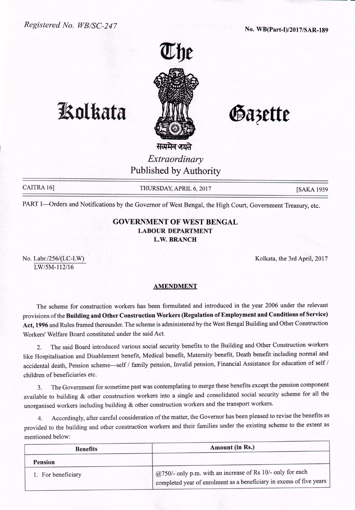

# **1. Rolkata ANI Gazette**

सत्यमेव जयते *Extraordinary* Published by Authority

CAITRA 16] THURSDAY, APRIL 6, 2017 [SAKA 1939

PART I-Orders and Notifications by the Governor of West Bengal, the High Court, Government Treasury, etc.

### GOVERNMENT OF WEST BENGAL LABOUR DEPARTMENT L.W.BRANCH

No. Labr./256/(LC-LW) *LWISM-112/16*

Kolkata, the 3rd April, 2017

#### AMENDMENT

The scheme for construction workers has been formulated and introduced in the year 2006 under the relevant provisions of the Building and Other Construction Workers (Regulation of Employment and Conditions of Service) Act, 1996 and Rules framed thereunder. The scheme is administered by the West Bengal Building and Other Construction Workers' Welfare Board constituted under the said Act.

2. The said Board introduced various social security benefits to the Building and Other Construction workers like Hospitalisation and Disablement benefit, Medical benefit, Maternity benefit, Death benefit including normal and accidental death, Pension scheme-self *1* family pension, Invalid pension, Financial Assistance for education of self *1* children of beneficiaries etc.

3. The Government for sometime past was contemplating to merge these benefits except the pension component available to building & other construction workers into a single and consolidated social security scheme for all the unorganised workers including building & other construction workers and the transport workers.

4. Accordingly, after careful consideration of the matter, the Governor has been pleased to revise the benefits as provided to the building and other construction workers and their families under the existing scheme to the extent as mentioned below:

| <b>Benefits</b>    | Amount (in Rs.)                                                                                                                                       |
|--------------------|-------------------------------------------------------------------------------------------------------------------------------------------------------|
| <b>Pension</b>     |                                                                                                                                                       |
| 1. For beneficiary | $\omega$ ( $\omega$ 750/- only p.m. with an increase of Rs 10/- only for each<br>completed year of enrolment as a beneficiary in excess of five years |